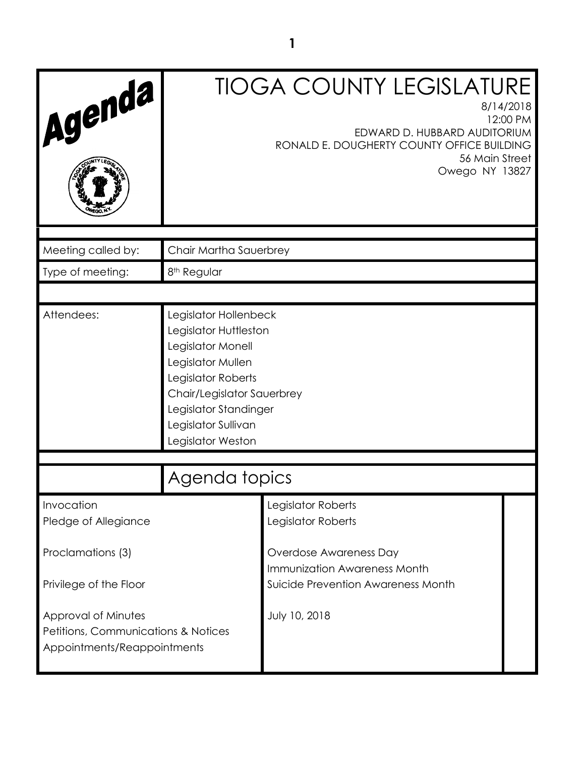| Agenda                             |                                                                                                                                                                                                                   | <b>TIOGA COUNTY LEGISLATURE</b><br>8/14/2018<br>12:00 PM<br>EDWARD D. HUBBARD AUDITORIUM<br>RONALD E. DOUGHERTY COUNTY OFFICE BUILDING<br>56 Main Street<br>Owego NY 13827 |  |
|------------------------------------|-------------------------------------------------------------------------------------------------------------------------------------------------------------------------------------------------------------------|----------------------------------------------------------------------------------------------------------------------------------------------------------------------------|--|
| Meeting called by:                 | Chair Martha Sauerbrey                                                                                                                                                                                            |                                                                                                                                                                            |  |
| Type of meeting:                   | 8 <sup>th</sup> Regular                                                                                                                                                                                           |                                                                                                                                                                            |  |
|                                    |                                                                                                                                                                                                                   |                                                                                                                                                                            |  |
| Attendees:                         | Legislator Hollenbeck<br>Legislator Huttleston<br>Legislator Monell<br>Legislator Mullen<br>Legislator Roberts<br>Chair/Legislator Sauerbrey<br>Legislator Standinger<br>Legislator Sullivan<br>Legislator Weston |                                                                                                                                                                            |  |
| Agenda topics                      |                                                                                                                                                                                                                   |                                                                                                                                                                            |  |
| Invocation<br>Pledge of Allegiance |                                                                                                                                                                                                                   | Legislator Roberts<br>Legislator Roberts                                                                                                                                   |  |
| Proclamations (3)                  |                                                                                                                                                                                                                   | Overdose Awareness Day<br>Immunization Awareness Month                                                                                                                     |  |
| Privilege of the Floor             | Suicide Prevention Awareness Month                                                                                                                                                                                |                                                                                                                                                                            |  |
| Approval of Minutes                | July 10, 2018<br>Petitions, Communications & Notices<br>Appointments/Reappointments                                                                                                                               |                                                                                                                                                                            |  |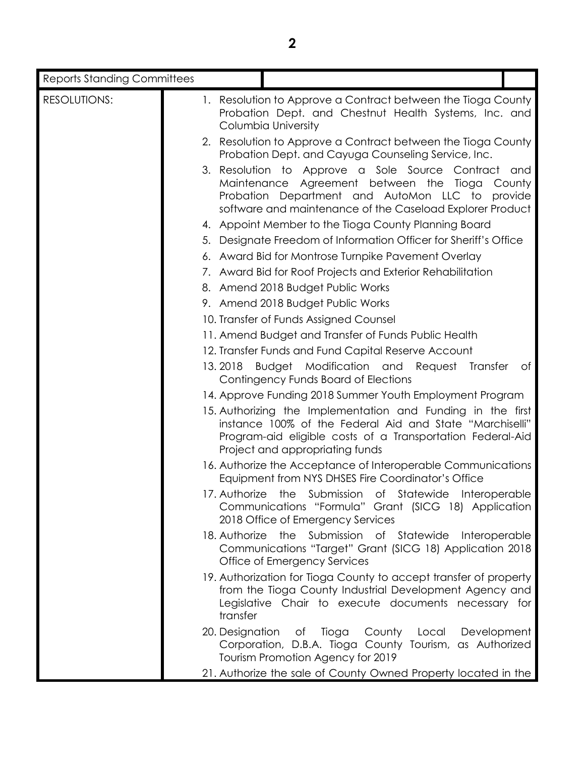| <b>Reports Standing Committees</b> |                                                                                                                                                                                                                          |                                   |
|------------------------------------|--------------------------------------------------------------------------------------------------------------------------------------------------------------------------------------------------------------------------|-----------------------------------|
| RESOLUTIONS:                       | 1. Resolution to Approve a Contract between the Tioga County<br>Probation Dept. and Chestnut Health Systems, Inc. and<br>Columbia University                                                                             |                                   |
|                                    | 2. Resolution to Approve a Contract between the Tioga County<br>Probation Dept. and Cayuga Counseling Service, Inc.                                                                                                      |                                   |
|                                    | 3. Resolution to Approve a Sole Source Contract and<br>Maintenance Agreement between the Tioga<br>Probation Department and AutoMon LLC to<br>software and maintenance of the Caseload Explorer Product                   | County<br>provide                 |
|                                    | 4. Appoint Member to the Tioga County Planning Board                                                                                                                                                                     |                                   |
|                                    | 5. Designate Freedom of Information Officer for Sheriff's Office                                                                                                                                                         |                                   |
|                                    | 6. Award Bid for Montrose Turnpike Pavement Overlay                                                                                                                                                                      |                                   |
|                                    | 7. Award Bid for Roof Projects and Exterior Rehabilitation                                                                                                                                                               |                                   |
|                                    | 8. Amend 2018 Budget Public Works                                                                                                                                                                                        |                                   |
|                                    | 9. Amend 2018 Budget Public Works                                                                                                                                                                                        |                                   |
|                                    | 10. Transfer of Funds Assigned Counsel                                                                                                                                                                                   |                                   |
|                                    | 11. Amend Budget and Transfer of Funds Public Health                                                                                                                                                                     |                                   |
|                                    | 12. Transfer Funds and Fund Capital Reserve Account                                                                                                                                                                      |                                   |
|                                    | Budget Modification and Request<br>13.2018<br>Contingency Funds Board of Elections                                                                                                                                       | Transfer<br>$\circ$ f             |
|                                    | 14. Approve Funding 2018 Summer Youth Employment Program                                                                                                                                                                 |                                   |
|                                    | 15. Authorizing the Implementation and Funding in the first<br>instance 100% of the Federal Aid and State "Marchiselli"<br>Program-aid eligible costs of a Transportation Federal-Aid<br>Project and appropriating funds |                                   |
|                                    | 16. Authorize the Acceptance of Interoperable Communications<br>Equipment from NYS DHSES Fire Coordinator's Office                                                                                                       |                                   |
|                                    | 17. Authorize the Submission of Statewide Interoperable<br>Communications "Formula" Grant (SICG 18) Application<br>2018 Office of Emergency Services                                                                     |                                   |
|                                    | 18. Authorize the Submission of Statewide Interoperable<br>Communications "Target" Grant (SICG 18) Application 2018<br>Office of Emergency Services                                                                      |                                   |
|                                    | 19. Authorization for Tioga County to accept transfer of property<br>from the Tioga County Industrial Development Agency and<br>Legislative Chair to execute documents necessary for<br>transfer                         |                                   |
|                                    | 20. Designation<br>Corporation, D.B.A. Tioga County Tourism, as Authorized<br>Tourism Promotion Agency for 2019                                                                                                          | of Tioga County Local Development |
|                                    | 21. Authorize the sale of County Owned Property located in the                                                                                                                                                           |                                   |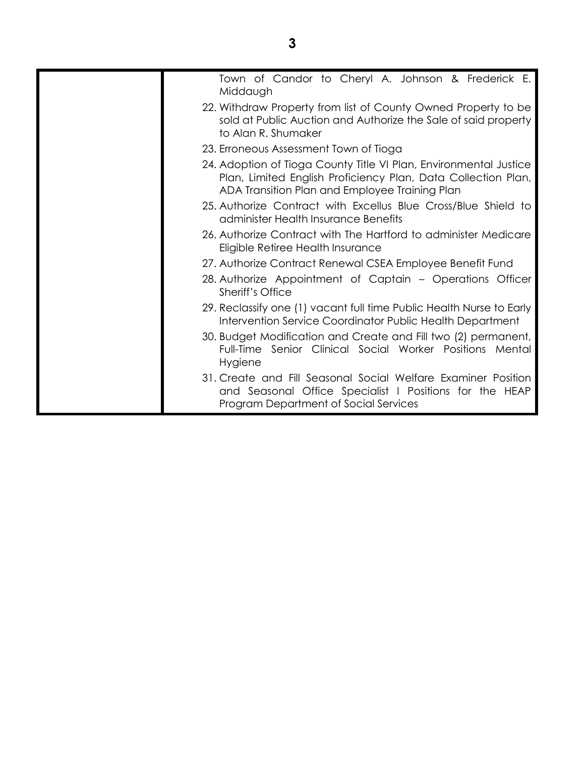| Town of Candor to Cheryl A. Johnson & Frederick E.<br>Middaugh                                                                                                                       |
|--------------------------------------------------------------------------------------------------------------------------------------------------------------------------------------|
| 22. Withdraw Property from list of County Owned Property to be<br>sold at Public Auction and Authorize the Sale of said property<br>to Alan R. Shumaker                              |
| 23. Erroneous Assessment Town of Tioga                                                                                                                                               |
| 24. Adoption of Tioga County Title VI Plan, Environmental Justice<br>Plan, Limited English Proficiency Plan, Data Collection Plan,<br>ADA Transition Plan and Employee Training Plan |
| 25. Authorize Contract with Excellus Blue Cross/Blue Shield to<br>administer Health Insurance Benefits                                                                               |
| 26. Authorize Contract with The Hartford to administer Medicare<br>Eligible Retiree Health Insurance                                                                                 |
| 27. Authorize Contract Renewal CSEA Employee Benefit Fund                                                                                                                            |
| 28. Authorize Appointment of Captain - Operations Officer<br>Sheriff's Office                                                                                                        |
| 29. Reclassify one (1) vacant full time Public Health Nurse to Early<br>Intervention Service Coordinator Public Health Department                                                    |
| 30. Budget Modification and Create and Fill two (2) permanent,<br>Full-Time Senior Clinical Social Worker Positions Mental<br>Hygiene                                                |
| 31. Create and Fill Seasonal Social Welfare Examiner Position<br>and Seasonal Office Specialist I Positions for the HEAP<br>Program Department of Social Services                    |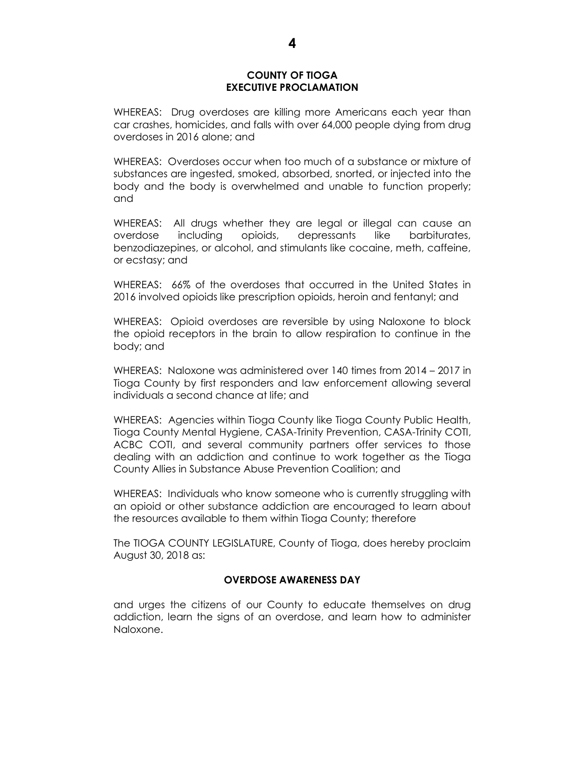#### **COUNTY OF TIOGA EXECUTIVE PROCLAMATION**

WHEREAS: Drug overdoses are killing more Americans each year than car crashes, homicides, and falls with over 64,000 people dying from drug overdoses in 2016 alone; and

WHEREAS: Overdoses occur when too much of a substance or mixture of substances are ingested, smoked, absorbed, snorted, or injected into the body and the body is overwhelmed and unable to function properly; and

WHEREAS: All drugs whether they are legal or illegal can cause an overdose including opioids, depressants like barbiturates, benzodiazepines, or alcohol, and stimulants like cocaine, meth, caffeine, or ecstasy; and

WHEREAS: 66% of the overdoses that occurred in the United States in 2016 involved opioids like prescription opioids, heroin and fentanyl; and

WHEREAS: Opioid overdoses are reversible by using Naloxone to block the opioid receptors in the brain to allow respiration to continue in the body; and

WHEREAS: Naloxone was administered over 140 times from 2014 – 2017 in Tioga County by first responders and law enforcement allowing several individuals a second chance at life; and

WHEREAS: Agencies within Tioga County like Tioga County Public Health, Tioga County Mental Hygiene, CASA-Trinity Prevention, CASA-Trinity COTI, ACBC COTI, and several community partners offer services to those dealing with an addiction and continue to work together as the Tioga County Allies in Substance Abuse Prevention Coalition; and

WHEREAS: Individuals who know someone who is currently struggling with an opioid or other substance addiction are encouraged to learn about the resources available to them within Tioga County; therefore

The TIOGA COUNTY LEGISLATURE, County of Tioga, does hereby proclaim August 30, 2018 as:

#### **OVERDOSE AWARENESS DAY**

and urges the citizens of our County to educate themselves on drug addiction, learn the signs of an overdose, and learn how to administer Naloxone.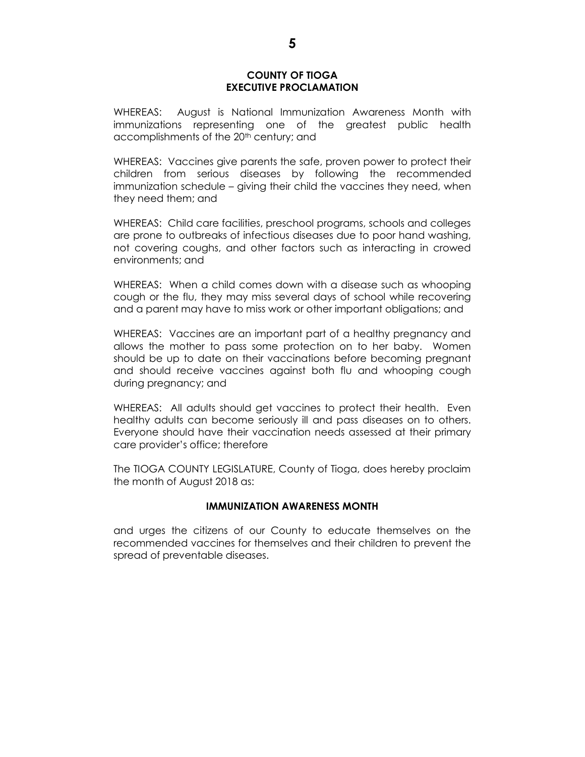#### **COUNTY OF TIOGA EXECUTIVE PROCLAMATION**

WHEREAS: August is National Immunization Awareness Month with immunizations representing one of the greatest public health accomplishments of the 20<sup>th</sup> century; and

WHEREAS: Vaccines give parents the safe, proven power to protect their children from serious diseases by following the recommended immunization schedule – giving their child the vaccines they need, when they need them; and

WHEREAS: Child care facilities, preschool programs, schools and colleges are prone to outbreaks of infectious diseases due to poor hand washing, not covering coughs, and other factors such as interacting in crowed environments; and

WHEREAS: When a child comes down with a disease such as whooping cough or the flu, they may miss several days of school while recovering and a parent may have to miss work or other important obligations; and

WHEREAS: Vaccines are an important part of a healthy pregnancy and allows the mother to pass some protection on to her baby. Women should be up to date on their vaccinations before becoming pregnant and should receive vaccines against both flu and whooping cough during pregnancy; and

WHEREAS: All adults should get vaccines to protect their health. Even healthy adults can become seriously ill and pass diseases on to others. Everyone should have their vaccination needs assessed at their primary care provider's office; therefore

The TIOGA COUNTY LEGISLATURE, County of Tioga, does hereby proclaim the month of August 2018 as:

#### **IMMUNIZATION AWARENESS MONTH**

and urges the citizens of our County to educate themselves on the recommended vaccines for themselves and their children to prevent the spread of preventable diseases.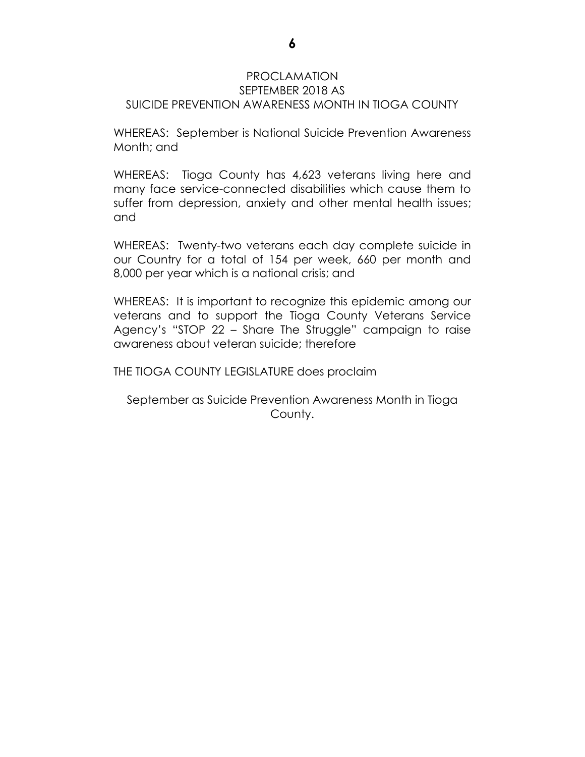#### PROCLAMATION SEPTEMBER 2018 AS SUICIDE PREVENTION AWARENESS MONTH IN TIOGA COUNTY

WHEREAS: September is National Suicide Prevention Awareness Month; and

WHEREAS: Tioga County has 4,623 veterans living here and many face service-connected disabilities which cause them to suffer from depression, anxiety and other mental health issues; and

WHEREAS: Twenty-two veterans each day complete suicide in our Country for a total of 154 per week, 660 per month and 8,000 per year which is a national crisis; and

WHEREAS: It is important to recognize this epidemic among our veterans and to support the Tioga County Veterans Service Agency's "STOP 22 – Share The Struggle" campaign to raise awareness about veteran suicide; therefore

THE TIOGA COUNTY LEGISLATURE does proclaim

September as Suicide Prevention Awareness Month in Tioga County.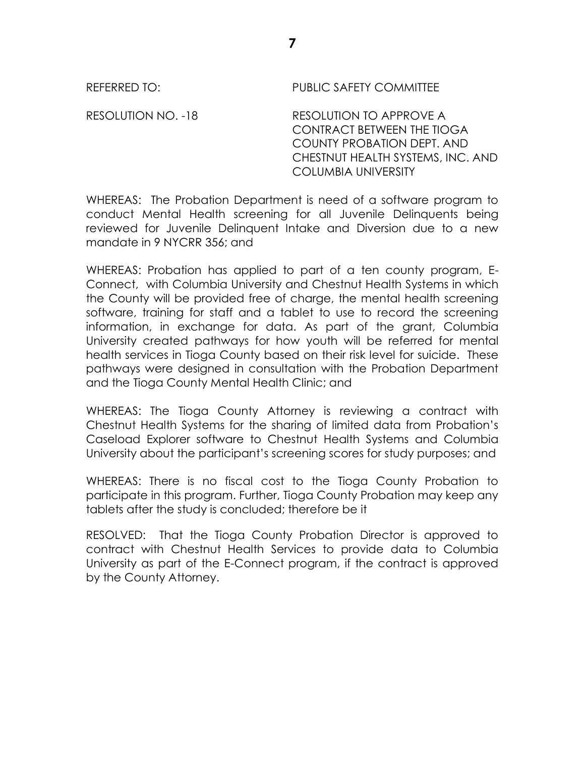RESOLUTION NO. -18 RESOLUTION TO APPROVE A CONTRACT BETWEEN THE TIOGA COUNTY PROBATION DEPT. AND CHESTNUT HEALTH SYSTEMS, INC. AND COLUMBIA UNIVERSITY

WHEREAS: The Probation Department is need of a software program to conduct Mental Health screening for all Juvenile Delinquents being reviewed for Juvenile Delinquent Intake and Diversion due to a new mandate in 9 NYCRR 356; and

WHEREAS: Probation has applied to part of a ten county program, E-Connect, with Columbia University and Chestnut Health Systems in which the County will be provided free of charge, the mental health screening software, training for staff and a tablet to use to record the screening information, in exchange for data. As part of the grant, Columbia University created pathways for how youth will be referred for mental health services in Tioga County based on their risk level for suicide. These pathways were designed in consultation with the Probation Department and the Tioga County Mental Health Clinic; and

WHEREAS: The Tioga County Attorney is reviewing a contract with Chestnut Health Systems for the sharing of limited data from Probation's Caseload Explorer software to Chestnut Health Systems and Columbia University about the participant's screening scores for study purposes; and

WHEREAS: There is no fiscal cost to the Tioga County Probation to participate in this program. Further, Tioga County Probation may keep any tablets after the study is concluded; therefore be it

RESOLVED: That the Tioga County Probation Director is approved to contract with Chestnut Health Services to provide data to Columbia University as part of the E-Connect program, if the contract is approved by the County Attorney.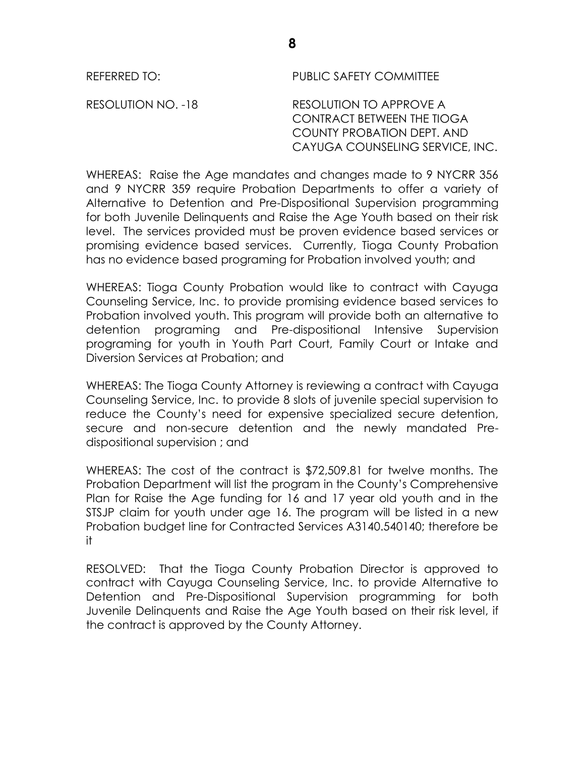**8**

REFERRED TO: PUBLIC SAFETY COMMITTEE

RESOLUTION NO. -18 RESOLUTION TO APPROVE A CONTRACT BETWEEN THE TIOGA COUNTY PROBATION DEPT. AND CAYUGA COUNSELING SERVICE, INC.

WHEREAS: Raise the Age mandates and changes made to 9 NYCRR 356 and 9 NYCRR 359 require Probation Departments to offer a variety of Alternative to Detention and Pre-Dispositional Supervision programming for both Juvenile Delinquents and Raise the Age Youth based on their risk level. The services provided must be proven evidence based services or promising evidence based services. Currently, Tioga County Probation has no evidence based programing for Probation involved youth; and

WHEREAS: Tioga County Probation would like to contract with Cayuga Counseling Service, Inc. to provide promising evidence based services to Probation involved youth. This program will provide both an alternative to detention programing and Pre-dispositional Intensive Supervision programing for youth in Youth Part Court, Family Court or Intake and Diversion Services at Probation; and

WHEREAS: The Tioga County Attorney is reviewing a contract with Cayuga Counseling Service, Inc. to provide 8 slots of juvenile special supervision to reduce the County's need for expensive specialized secure detention, secure and non-secure detention and the newly mandated Predispositional supervision ; and

WHEREAS: The cost of the contract is \$72,509.81 for twelve months. The Probation Department will list the program in the County's Comprehensive Plan for Raise the Age funding for 16 and 17 year old youth and in the STSJP claim for youth under age 16. The program will be listed in a new Probation budget line for Contracted Services A3140.540140; therefore be it

RESOLVED: That the Tioga County Probation Director is approved to contract with Cayuga Counseling Service, Inc. to provide Alternative to Detention and Pre-Dispositional Supervision programming for both Juvenile Delinquents and Raise the Age Youth based on their risk level, if the contract is approved by the County Attorney.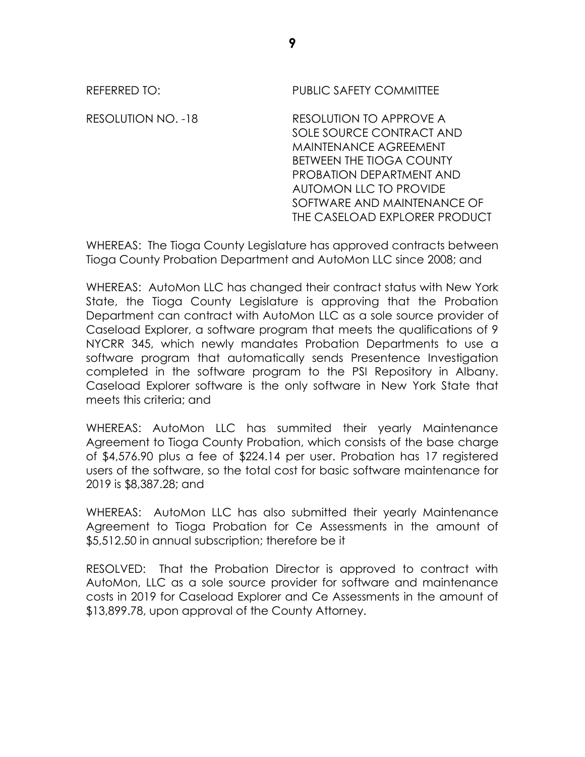| REFERRED TO:       | <b>PUBLIC SAFETY COMMITTEE</b>                                                                                                                                                                                                               |
|--------------------|----------------------------------------------------------------------------------------------------------------------------------------------------------------------------------------------------------------------------------------------|
| RESOLUTION NO. -18 | RESOLUTION TO APPROVE A<br>SOLE SOURCE CONTRACT AND<br><b>MAINTENANCE AGREEMENT</b><br><b>BETWEEN THE TIOGA COUNTY</b><br>PROBATION DEPARTMENT AND<br>AUTOMON LLC TO PROVIDE<br>SOFTWARE AND MAINTENANCE OF<br>THE CASELOAD EXPLORER PRODUCT |

WHEREAS: The Tioga County Legislature has approved contracts between Tioga County Probation Department and AutoMon LLC since 2008; and

WHEREAS: AutoMon LLC has changed their contract status with New York State, the Tioga County Legislature is approving that the Probation Department can contract with AutoMon LLC as a sole source provider of Caseload Explorer, a software program that meets the qualifications of 9 NYCRR 345, which newly mandates Probation Departments to use a software program that automatically sends Presentence Investigation completed in the software program to the PSI Repository in Albany. Caseload Explorer software is the only software in New York State that meets this criteria; and

WHEREAS: AutoMon LLC has summited their yearly Maintenance Agreement to Tioga County Probation, which consists of the base charge of \$4,576.90 plus a fee of \$224.14 per user. Probation has 17 registered users of the software, so the total cost for basic software maintenance for 2019 is \$8,387.28; and

WHEREAS: AutoMon LLC has also submitted their yearly Maintenance Agreement to Tioga Probation for Ce Assessments in the amount of \$5,512.50 in annual subscription; therefore be it

RESOLVED: That the Probation Director is approved to contract with AutoMon, LLC as a sole source provider for software and maintenance costs in 2019 for Caseload Explorer and Ce Assessments in the amount of \$13,899.78, upon approval of the County Attorney.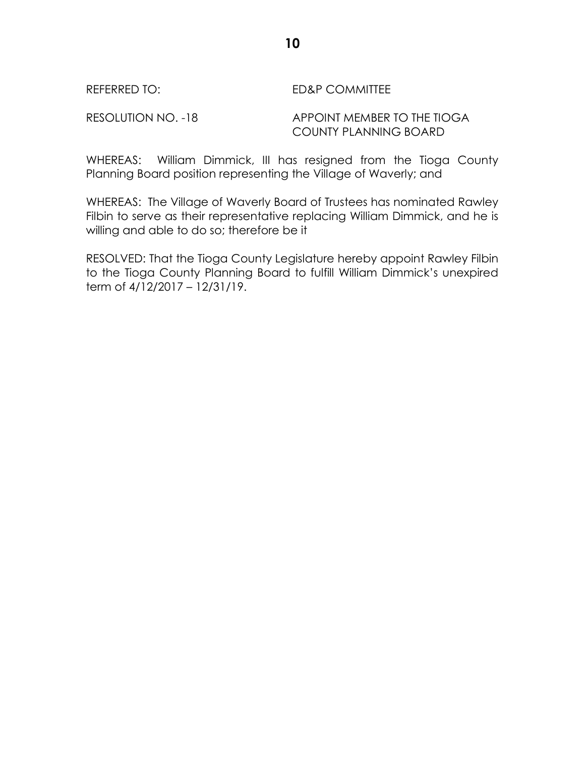#### REFERRED TO: ED&P COMMITTEE

## RESOLUTION NO. -18 APPOINT MEMBER TO THE TIOGA COUNTY PLANNING BOARD

WHEREAS: William Dimmick, III has resigned from the Tioga County Planning Board position representing the Village of Waverly; and

WHEREAS: The Village of Waverly Board of Trustees has nominated Rawley Filbin to serve as their representative replacing William Dimmick, and he is willing and able to do so; therefore be it

RESOLVED: That the Tioga County Legislature hereby appoint Rawley Filbin to the Tioga County Planning Board to fulfill William Dimmick's unexpired term of 4/12/2017 – 12/31/19.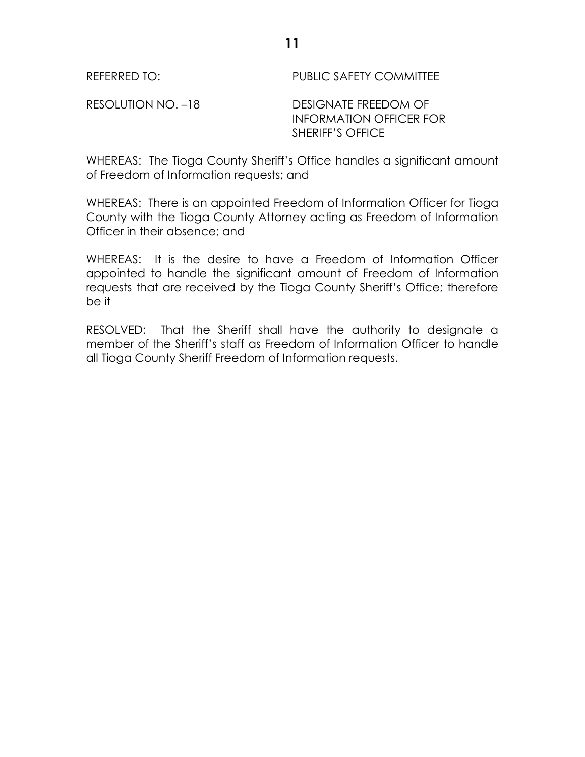RESOLUTION NO. -18 DESIGNATE FREEDOM OF INFORMATION OFFICER FOR SHERIFF'S OFFICE

WHEREAS: The Tioga County Sheriff's Office handles a significant amount of Freedom of Information requests; and

WHEREAS: There is an appointed Freedom of Information Officer for Tioga County with the Tioga County Attorney acting as Freedom of Information Officer in their absence; and

WHEREAS: It is the desire to have a Freedom of Information Officer appointed to handle the significant amount of Freedom of Information requests that are received by the Tioga County Sheriff's Office; therefore be it

RESOLVED: That the Sheriff shall have the authority to designate a member of the Sheriff's staff as Freedom of Information Officer to handle all Tioga County Sheriff Freedom of Information requests.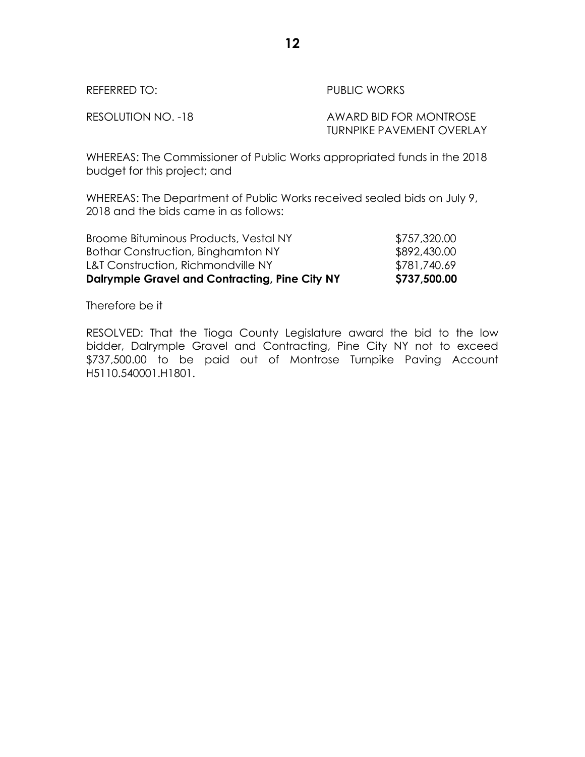| REFERRED TO:       | PUBLIC WORKS                                               |
|--------------------|------------------------------------------------------------|
| RESOLUTION NO. -18 | AWARD BID FOR MONTROSE<br><b>TURNPIKE PAVEMENT OVERLAY</b> |

WHEREAS: The Commissioner of Public Works appropriated funds in the 2018 budget for this project; and

WHEREAS: The Department of Public Works received sealed bids on July 9, 2018 and the bids came in as follows:

| <b>Dalrymple Gravel and Contracting, Pine City NY</b> | \$737,500.00 |
|-------------------------------------------------------|--------------|
| <b>L&amp;T Construction, Richmondville NY</b>         | \$781,740.69 |
| Bothar Construction, Binghamton NY                    | \$892,430.00 |
| Broome Bituminous Products, Vestal NY                 | \$757,320.00 |

Therefore be it

RESOLVED: That the Tioga County Legislature award the bid to the low bidder, Dalrymple Gravel and Contracting, Pine City NY not to exceed \$737,500.00 to be paid out of Montrose Turnpike Paving Account H5110.540001.H1801.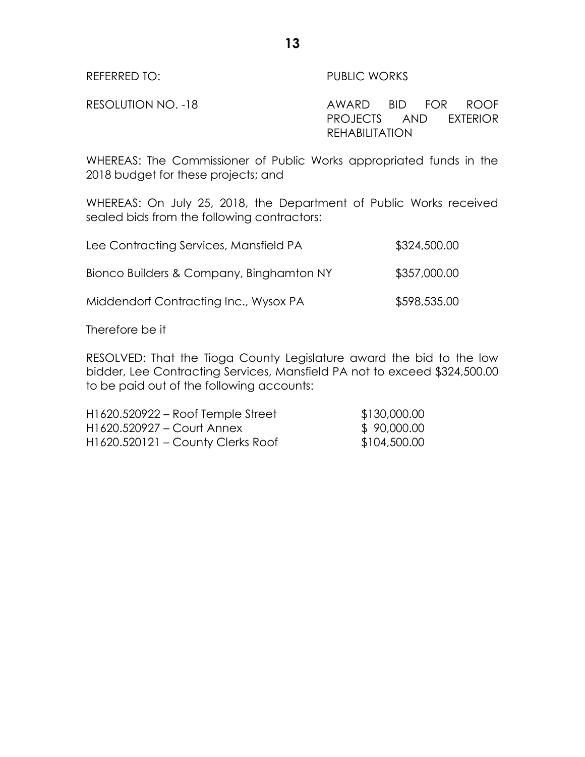# REFERRED TO: PUBLIC WORKS

RESOLUTION NO. -18 AWARD BID FOR ROOF PROJECTS AND EXTERIOR REHABILITATION

WHEREAS: The Commissioner of Public Works appropriated funds in the 2018 budget for these projects; and

**13**

WHEREAS: On July 25, 2018, the Department of Public Works received sealed bids from the following contractors:

| Lee Contracting Services, Mansfield PA   | \$324,500.00 |
|------------------------------------------|--------------|
| Bionco Builders & Company, Binghamton NY | \$357,000.00 |
| Middendorf Contracting Inc., Wysox PA    | \$598,535.00 |

Therefore be it

RESOLVED: That the Tioga County Legislature award the bid to the low bidder, Lee Contracting Services, Mansfield PA not to exceed \$324,500.00 to be paid out of the following accounts:

| $H1620.520922 - Root Temple Street$ | \$130,000.00 |
|-------------------------------------|--------------|
| H1620.520927 – Court Annex          | \$90,000.00  |
| H1620.520121 – County Clerks Roof   | \$104,500.00 |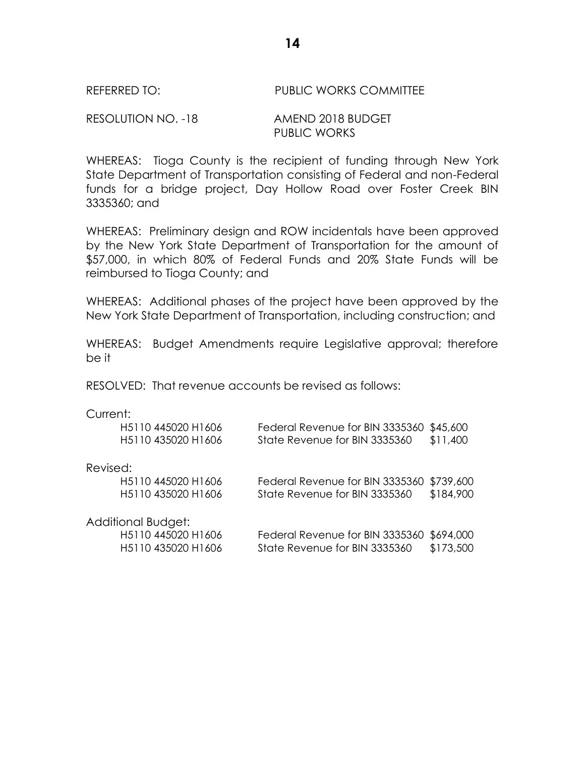### REFERRED TO: PUBLIC WORKS COMMITTEE

RESOLUTION NO. -18 AMEND 2018 BUDGET PUBLIC WORKS

WHEREAS: Tioga County is the recipient of funding through New York State Department of Transportation consisting of Federal and non-Federal funds for a bridge project, Day Hollow Road over Foster Creek BIN 3335360; and

WHEREAS: Preliminary design and ROW incidentals have been approved by the New York State Department of Transportation for the amount of \$57,000, in which 80% of Federal Funds and 20% State Funds will be reimbursed to Tioga County; and

WHEREAS: Additional phases of the project have been approved by the New York State Department of Transportation, including construction; and

WHEREAS: Budget Amendments require Legislative approval; therefore be it

RESOLVED: That revenue accounts be revised as follows:

#### Current:

|          | H5110 445020 H1606<br>H5110 435020 H1606    | Federal Revenue for BIN 3335360<br>State Revenue for BIN 3335360 | \$45,600<br>\$11,400 |
|----------|---------------------------------------------|------------------------------------------------------------------|----------------------|
| Revised: |                                             |                                                                  |                      |
|          | H <sub>5</sub> 110 445020 H <sub>1606</sub> | Federal Revenue for BIN 3335360                                  | \$739,600            |
|          | H5110 435020 H1606                          | State Revenue for BIN 3335360                                    | \$184,900            |
|          | Additional Budget:                          |                                                                  |                      |
|          | H5110 445020 H1606                          | Federal Revenue for BIN 3335360                                  | \$694,000            |
|          | H5110 435020 H1606                          | State Revenue for BIN 3335360                                    | \$173,500            |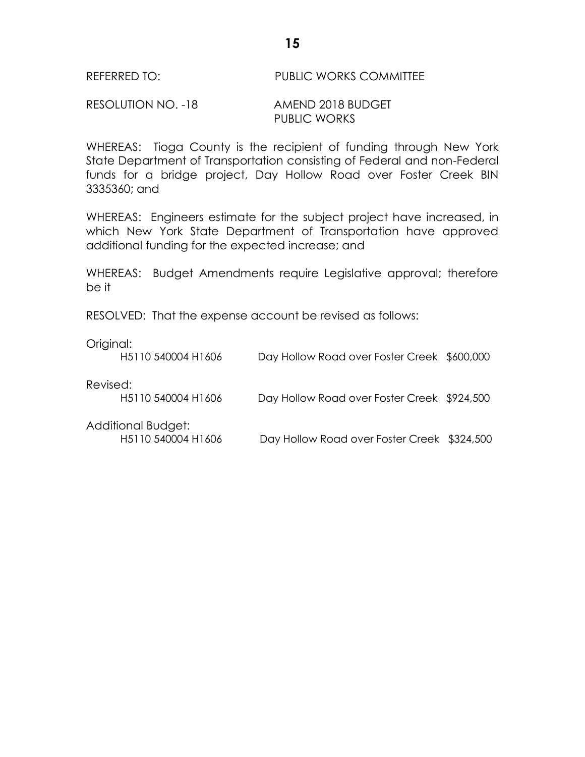#### REFERRED TO: PUBLIC WORKS COMMITTEE

#### RESOLUTION NO. -18 AMEND 2018 BUDGET PUBLIC WORKS

WHEREAS: Tioga County is the recipient of funding through New York State Department of Transportation consisting of Federal and non-Federal funds for a bridge project, Day Hollow Road over Foster Creek BIN 3335360; and

WHEREAS: Engineers estimate for the subject project have increased, in which New York State Department of Transportation have approved additional funding for the expected increase; and

WHEREAS: Budget Amendments require Legislative approval; therefore be it

RESOLVED: That the expense account be revised as follows:

Original:

|          | H5110 540004 H1606                          | Day Hollow Road over Foster Creek \$600,000 |  |
|----------|---------------------------------------------|---------------------------------------------|--|
| Revised: | H <sub>5</sub> 110 540004 H <sub>1606</sub> | Day Hollow Road over Foster Creek \$924,500 |  |
|          | Additional Budget:<br>H5110 540004 H1606    | Day Hollow Road over Foster Creek \$324,500 |  |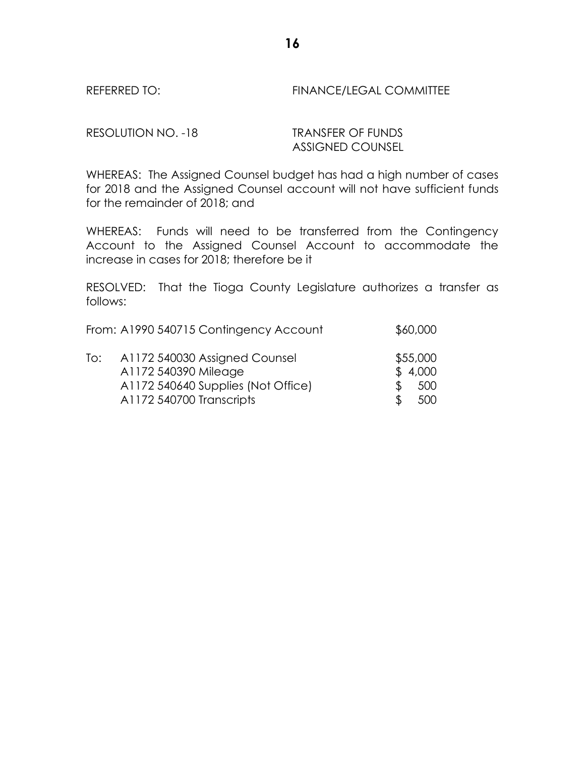REFERRED TO: FINANCE/LEGAL COMMITTEE

RESOLUTION NO. -18 TRANSFER OF FUNDS

ASSIGNED COUNSEL

WHEREAS: The Assigned Counsel budget has had a high number of cases for 2018 and the Assigned Counsel account will not have sufficient funds for the remainder of 2018; and

WHEREAS: Funds will need to be transferred from the Contingency Account to the Assigned Counsel Account to accommodate the increase in cases for 2018; therefore be it

RESOLVED: That the Tioga County Legislature authorizes a transfer as follows:

|     | From: A1990 540715 Contingency Account | \$60,000 |
|-----|----------------------------------------|----------|
| To: | A1172 540030 Assigned Counsel          | \$55,000 |
|     | A1172 540390 Mileage                   | \$4,000  |
|     | A1172 540640 Supplies (Not Office)     | 500      |
|     | A1172 540700 Transcripts               | 500      |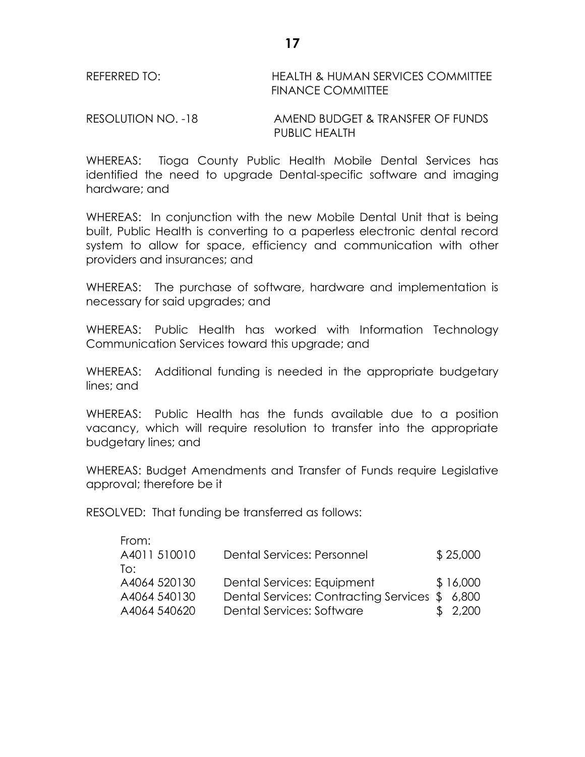| REFERRED TO: | <b>HEALTH &amp; HUMAN SERVICES COMMITTEE</b> |
|--------------|----------------------------------------------|
|              | <b>FINANCE COMMITTEE</b>                     |

RESOLUTION NO. -18 AMEND BUDGET & TRANSFER OF FUNDS PUBLIC HEALTH

WHEREAS: Tioga County Public Health Mobile Dental Services has identified the need to upgrade Dental-specific software and imaging hardware; and

WHEREAS: In conjunction with the new Mobile Dental Unit that is being built, Public Health is converting to a paperless electronic dental record system to allow for space, efficiency and communication with other providers and insurances; and

WHEREAS: The purchase of software, hardware and implementation is necessary for said upgrades; and

WHEREAS: Public Health has worked with Information Technology Communication Services toward this upgrade; and

WHEREAS: Additional funding is needed in the appropriate budgetary lines; and

WHEREAS: Public Health has the funds available due to a position vacancy, which will require resolution to transfer into the appropriate budgetary lines; and

WHEREAS: Budget Amendments and Transfer of Funds require Legislative approval; therefore be it

RESOLVED: That funding be transferred as follows:

| From:        |                                               |          |
|--------------|-----------------------------------------------|----------|
| A4011 510010 | Dental Services: Personnel                    | \$25,000 |
| To:          |                                               |          |
| A4064 520130 | Dental Services: Equipment                    | \$16,000 |
| A4064 540130 | Dental Services: Contracting Services \$6,800 |          |
| A4064 540620 | Dental Services: Software                     | \$2,200  |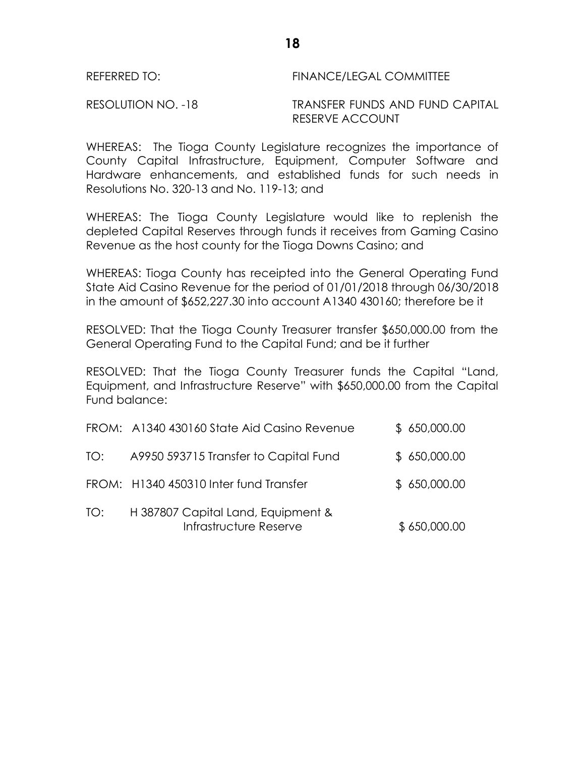RESOLUTION NO. -18 TRANSFER FUNDS AND FUND CAPITAL RESERVE ACCOUNT

WHEREAS: The Tioga County Legislature recognizes the importance of County Capital Infrastructure, Equipment, Computer Software and Hardware enhancements, and established funds for such needs in Resolutions No. 320-13 and No. 119-13; and

WHEREAS: The Tioga County Legislature would like to replenish the depleted Capital Reserves through funds it receives from Gaming Casino Revenue as the host county for the Tioga Downs Casino; and

WHEREAS: Tioga County has receipted into the General Operating Fund State Aid Casino Revenue for the period of 01/01/2018 through 06/30/2018 in the amount of \$652,227.30 into account A1340 430160; therefore be it

RESOLVED: That the Tioga County Treasurer transfer \$650,000.00 from the General Operating Fund to the Capital Fund; and be it further

RESOLVED: That the Tioga County Treasurer funds the Capital "Land, Equipment, and Infrastructure Reserve" with \$650,000.00 from the Capital Fund balance:

|     | FROM: A1340 430160 State Aid Casino Revenue                  | \$650,000.00 |
|-----|--------------------------------------------------------------|--------------|
| TO: | A9950 593715 Transfer to Capital Fund                        | \$650,000.00 |
|     | FROM: H1340 450310 Inter fund Transfer                       | \$650,000.00 |
| TO: | H 387807 Capital Land, Equipment &<br>Infrastructure Reserve | \$650,000.00 |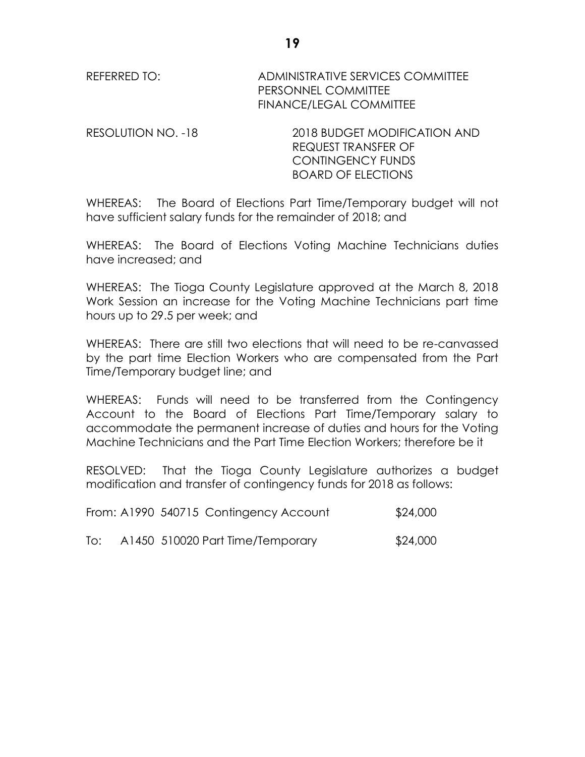REFERRED TO: ADMINISTRATIVE SERVICES COMMITTEE PERSONNEL COMMITTEE FINANCE/LEGAL COMMITTEE

RESOLUTION NO. -18 2018 BUDGET MODIFICATION AND REQUEST TRANSFER OF CONTINGENCY FUNDS BOARD OF ELECTIONS

WHEREAS: The Board of Elections Part Time/Temporary budget will not have sufficient salary funds for the remainder of 2018; and

WHEREAS: The Board of Elections Voting Machine Technicians duties have increased; and

WHEREAS: The Tioga County Legislature approved at the March 8, 2018 Work Session an increase for the Voting Machine Technicians part time hours up to 29.5 per week; and

WHEREAS: There are still two elections that will need to be re-canvassed by the part time Election Workers who are compensated from the Part Time/Temporary budget line; and

WHEREAS: Funds will need to be transferred from the Contingency Account to the Board of Elections Part Time/Temporary salary to accommodate the permanent increase of duties and hours for the Voting Machine Technicians and the Part Time Election Workers; therefore be it

RESOLVED: That the Tioga County Legislature authorizes a budget modification and transfer of contingency funds for 2018 as follows:

|  |  | From: A1990 540715 Contingency Account | \$24,000 |
|--|--|----------------------------------------|----------|
|--|--|----------------------------------------|----------|

To: A1450 510020 Part Time/Temporary \$24,000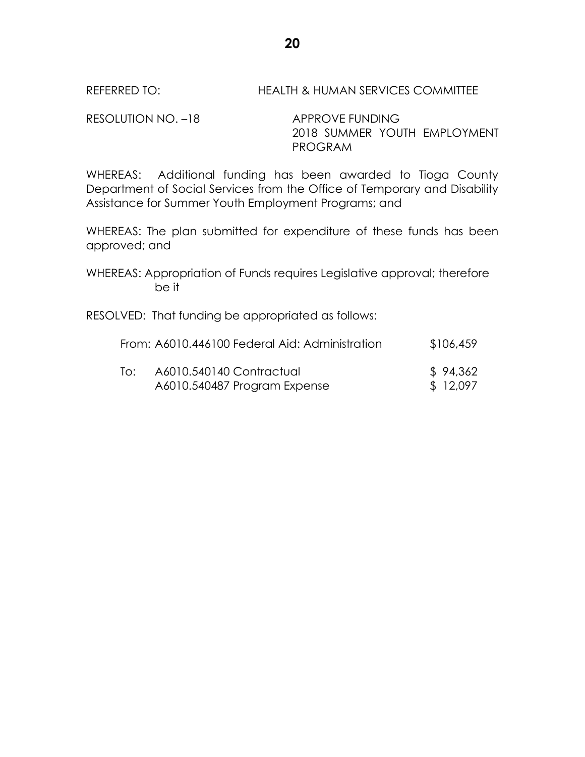# REFERRED TO: HEALTH & HUMAN SERVICES COMMITTEE

RESOLUTION NO. -18 APPROVE FUNDING

2018 SUMMER YOUTH EMPLOYMENT PROGRAM

WHEREAS: Additional funding has been awarded to Tioga County Department of Social Services from the Office of Temporary and Disability Assistance for Summer Youth Employment Programs; and

WHEREAS: The plan submitted for expenditure of these funds has been approved; and

WHEREAS: Appropriation of Funds requires Legislative approval; therefore be it

RESOLVED: That funding be appropriated as follows:

|     | From: A6010.446100 Federal Aid: Administration | \$106,459 |
|-----|------------------------------------------------|-----------|
| T∩∶ | A6010.540140 Contractual                       | \$94,362  |
|     | A6010.540487 Program Expense                   | \$ 12,097 |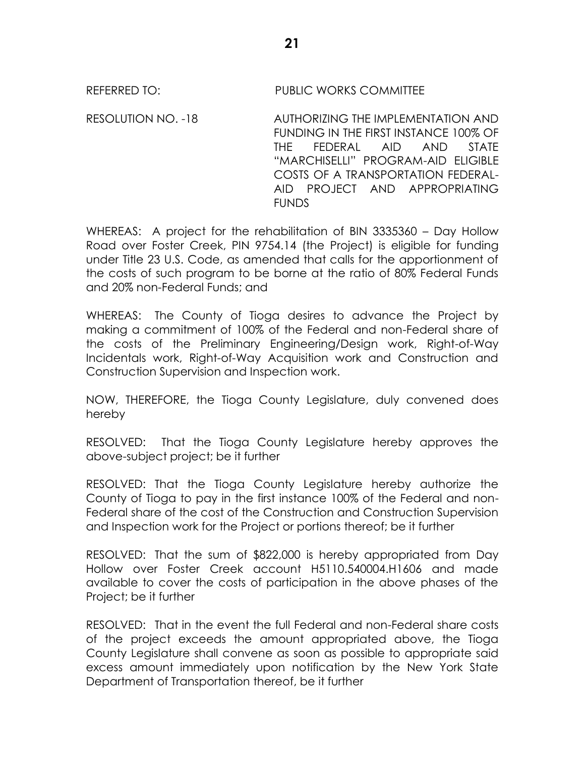REFERRED TO: PUBLIC WORKS COMMITTEE

RESOLUTION NO. -18 AUTHORIZING THE IMPLEMENTATION AND FUNDING IN THE FIRST INSTANCE 100% OF THE FEDERAL AID AND STATE "MARCHISELLI" PROGRAM-AID ELIGIBLE COSTS OF A TRANSPORTATION FEDERAL-AID PROJECT AND APPROPRIATING FUNDS

WHEREAS: A project for the rehabilitation of BIN 3335360 – Day Hollow Road over Foster Creek, PIN 9754.14 (the Project) is eligible for funding under Title 23 U.S. Code, as amended that calls for the apportionment of the costs of such program to be borne at the ratio of 80% Federal Funds and 20% non-Federal Funds; and

WHEREAS: The County of Tioga desires to advance the Project by making a commitment of 100% of the Federal and non-Federal share of the costs of the Preliminary Engineering/Design work, Right-of-Way Incidentals work, Right-of-Way Acquisition work and Construction and Construction Supervision and Inspection work.

NOW, THEREFORE, the Tioga County Legislature, duly convened does hereby

RESOLVED: That the Tioga County Legislature hereby approves the above-subject project; be it further

RESOLVED: That the Tioga County Legislature hereby authorize the County of Tioga to pay in the first instance 100% of the Federal and non-Federal share of the cost of the Construction and Construction Supervision and Inspection work for the Project or portions thereof; be it further

RESOLVED: That the sum of \$822,000 is hereby appropriated from Day Hollow over Foster Creek account H5110.540004.H1606 and made available to cover the costs of participation in the above phases of the Project; be it further

RESOLVED: That in the event the full Federal and non-Federal share costs of the project exceeds the amount appropriated above, the Tioga County Legislature shall convene as soon as possible to appropriate said excess amount immediately upon notification by the New York State Department of Transportation thereof, be it further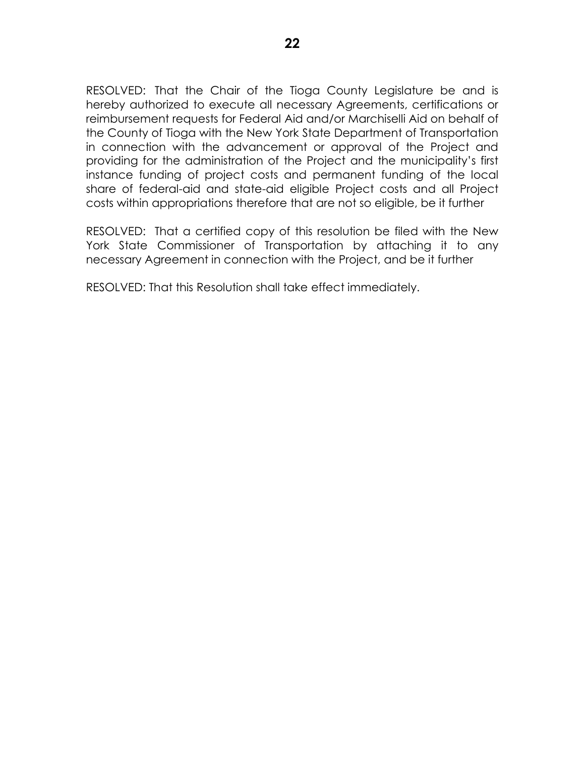RESOLVED: That the Chair of the Tioga County Legislature be and is hereby authorized to execute all necessary Agreements, certifications or reimbursement requests for Federal Aid and/or Marchiselli Aid on behalf of the County of Tioga with the New York State Department of Transportation in connection with the advancement or approval of the Project and providing for the administration of the Project and the municipality's first instance funding of project costs and permanent funding of the local share of federal-aid and state-aid eligible Project costs and all Project costs within appropriations therefore that are not so eligible, be it further

RESOLVED: That a certified copy of this resolution be filed with the New York State Commissioner of Transportation by attaching it to any necessary Agreement in connection with the Project, and be it further

RESOLVED: That this Resolution shall take effect immediately.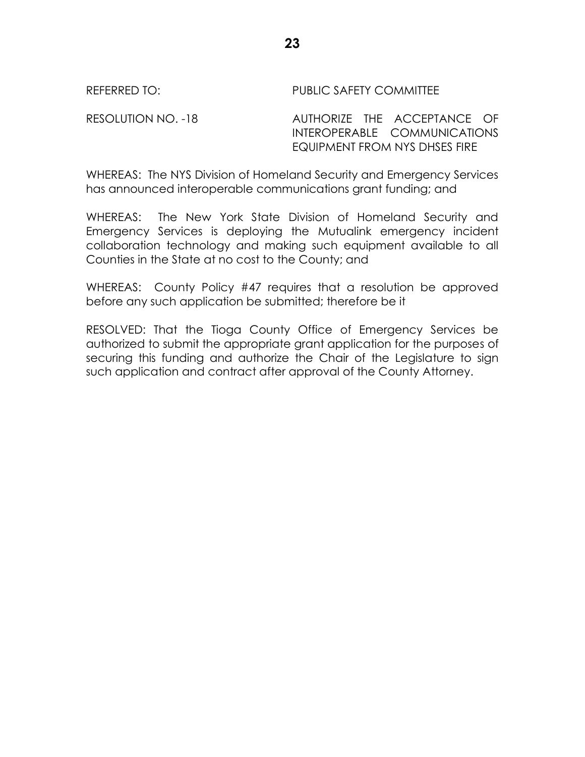RESOLUTION NO. -18 AUTHORIZE THE ACCEPTANCE OF INTEROPERABLE COMMUNICATIONS EQUIPMENT FROM NYS DHSES FIRE

WHEREAS: The NYS Division of Homeland Security and Emergency Services has announced interoperable communications grant funding; and

WHEREAS: The New York State Division of Homeland Security and Emergency Services is deploying the Mutualink emergency incident collaboration technology and making such equipment available to all Counties in the State at no cost to the County; and

WHEREAS: County Policy #47 requires that a resolution be approved before any such application be submitted; therefore be it

RESOLVED: That the Tioga County Office of Emergency Services be authorized to submit the appropriate grant application for the purposes of securing this funding and authorize the Chair of the Legislature to sign such application and contract after approval of the County Attorney.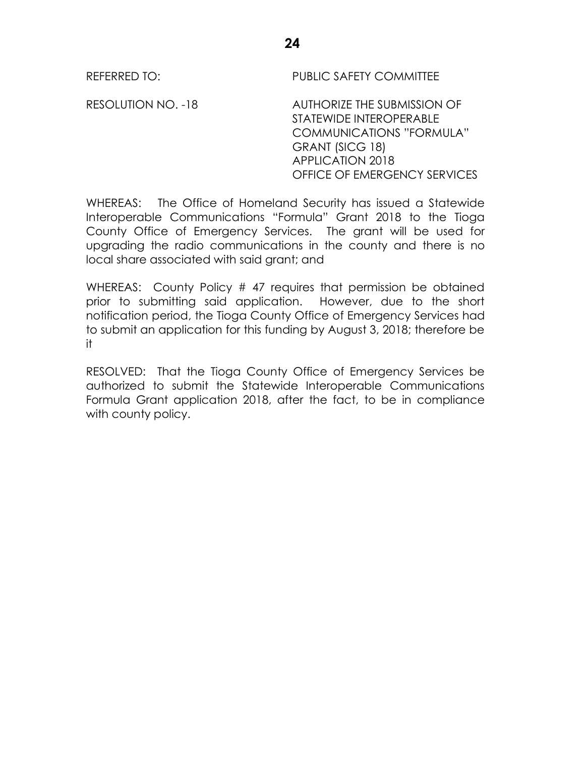RESOLUTION NO. -18 AUTHORIZE THE SUBMISSION OF STATEWIDE INTEROPERABLE COMMUNICATIONS "FORMULA" GRANT (SICG 18) APPLICATION 2018 OFFICE OF EMERGENCY SERVICES

WHEREAS: The Office of Homeland Security has issued a Statewide Interoperable Communications "Formula" Grant 2018 to the Tioga County Office of Emergency Services. The grant will be used for upgrading the radio communications in the county and there is no local share associated with said grant; and

WHEREAS: County Policy # 47 requires that permission be obtained prior to submitting said application. However, due to the short notification period, the Tioga County Office of Emergency Services had to submit an application for this funding by August 3, 2018; therefore be it

RESOLVED: That the Tioga County Office of Emergency Services be authorized to submit the Statewide Interoperable Communications Formula Grant application 2018, after the fact, to be in compliance with county policy.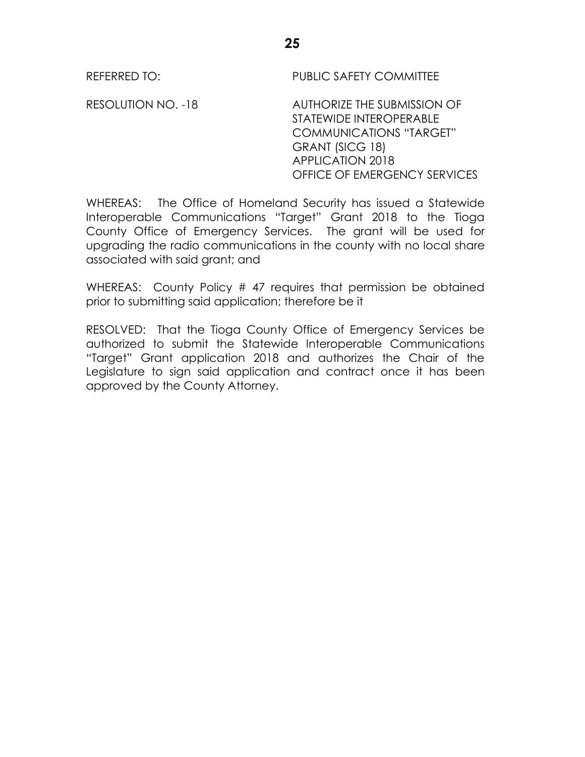RESOLUTION NO. -18 AUTHORIZE THE SUBMISSION OF STATEWIDE INTEROPERABLE COMMUNICATIONS "TARGET" GRANT (SICG 18) APPLICATION 2018 OFFICE OF EMERGENCY SERVICES

WHEREAS: The Office of Homeland Security has issued a Statewide Interoperable Communications "Target" Grant 2018 to the Tioga County Office of Emergency Services. The grant will be used for upgrading the radio communications in the county with no local share associated with said grant; and

WHEREAS: County Policy # 47 requires that permission be obtained prior to submitting said application; therefore be it

RESOLVED: That the Tioga County Office of Emergency Services be authorized to submit the Statewide Interoperable Communications "Target" Grant application 2018 and authorizes the Chair of the Legislature to sign said application and contract once it has been approved by the County Attorney.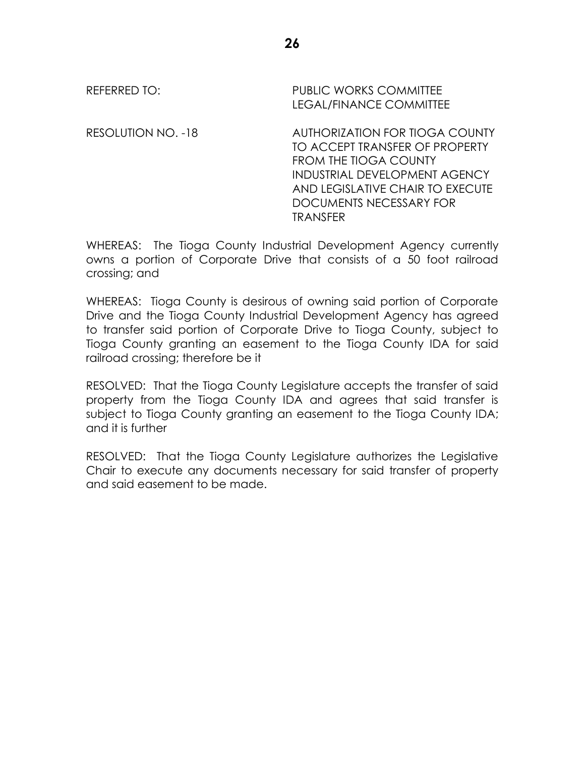# REFERRED TO: PUBLIC WORKS COMMITTEE LEGAL/FINANCE COMMITTEE RESOLUTION NO. -18 AUTHORIZATION FOR TIOGA COUNTY TO ACCEPT TRANSFER OF PROPERTY FROM THE TIOGA COUNTY INDUSTRIAL DEVELOPMENT AGENCY AND LEGISLATIVE CHAIR TO EXECUTE DOCUMENTS NECESSARY FOR **TRANSFER**

WHEREAS: The Tioga County Industrial Development Agency currently owns a portion of Corporate Drive that consists of a 50 foot railroad crossing; and

WHEREAS: Tioga County is desirous of owning said portion of Corporate Drive and the Tioga County Industrial Development Agency has agreed to transfer said portion of Corporate Drive to Tioga County, subject to Tioga County granting an easement to the Tioga County IDA for said railroad crossing; therefore be it

RESOLVED: That the Tioga County Legislature accepts the transfer of said property from the Tioga County IDA and agrees that said transfer is subject to Tioga County granting an easement to the Tioga County IDA; and it is further

RESOLVED: That the Tioga County Legislature authorizes the Legislative Chair to execute any documents necessary for said transfer of property and said easement to be made.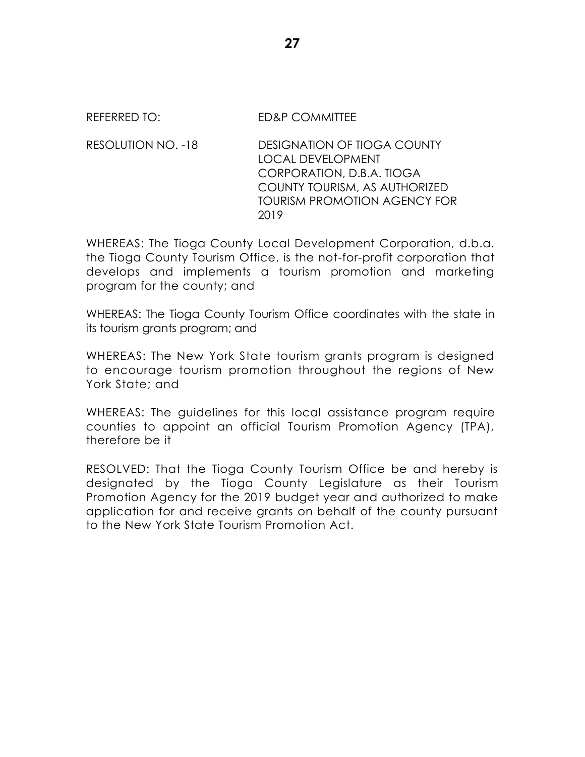# REFERRED TO: FD&P COMMITTEE

RESOLUTION NO. -18 DESIGNATION OF TIOGA COUNTY LOCAL DEVELOPMENT CORPORATION, D.B.A. TIOGA COUNTY TOURISM, AS AUTHORIZED TOURISM PROMOTION AGENCY FOR 2019

WHEREAS: The Tioga County Local Development Corporation, d.b.a. the Tioga County Tourism Office, is the not-for-profit corporation that develops and implements a tourism promotion and marketing program for the county; and

WHEREAS: The Tioga County Tourism Office coordinates with the state in its tourism grants program; and

WHEREAS: The New York State tourism grants program is designed to encourage tourism promotion throughout the regions of New York State; and

WHEREAS: The guidelines for this local assistance program require counties to appoint an official Tourism Promotion Agency (TPA), therefore be it

RESOLVED: That the Tioga County Tourism Office be and hereby is designated by the Tioga County Legislature as their Tourism Promotion Agency for the 2019 budget year and authorized to make application for and receive grants on behalf of the county pursuant to the New York State Tourism Promotion Act.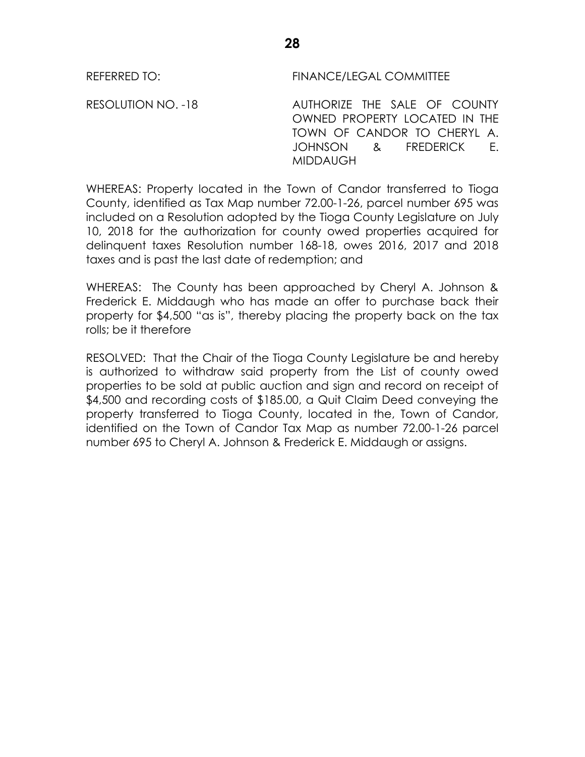REFERRED TO: FINANCE/LEGAL COMMITTEE

RESOLUTION NO. -18 AUTHORIZE THE SALE OF COUNTY OWNED PROPERTY LOCATED IN THE TOWN OF CANDOR TO CHERYL A. JOHNSON & FREDERICK E. MIDDAUGH

WHEREAS: Property located in the Town of Candor transferred to Tioga County, identified as Tax Map number 72.00-1-26, parcel number 695 was included on a Resolution adopted by the Tioga County Legislature on July 10, 2018 for the authorization for county owed properties acquired for delinquent taxes Resolution number 168-18, owes 2016, 2017 and 2018 taxes and is past the last date of redemption; and

WHEREAS: The County has been approached by Cheryl A. Johnson & Frederick E. Middaugh who has made an offer to purchase back their property for \$4,500 "as is", thereby placing the property back on the tax rolls; be it therefore

RESOLVED: That the Chair of the Tioga County Legislature be and hereby is authorized to withdraw said property from the List of county owed properties to be sold at public auction and sign and record on receipt of \$4,500 and recording costs of \$185.00, a Quit Claim Deed conveying the property transferred to Tioga County, located in the, Town of Candor, identified on the Town of Candor Tax Map as number 72.00-1-26 parcel number 695 to Cheryl A. Johnson & Frederick E. Middaugh or assigns.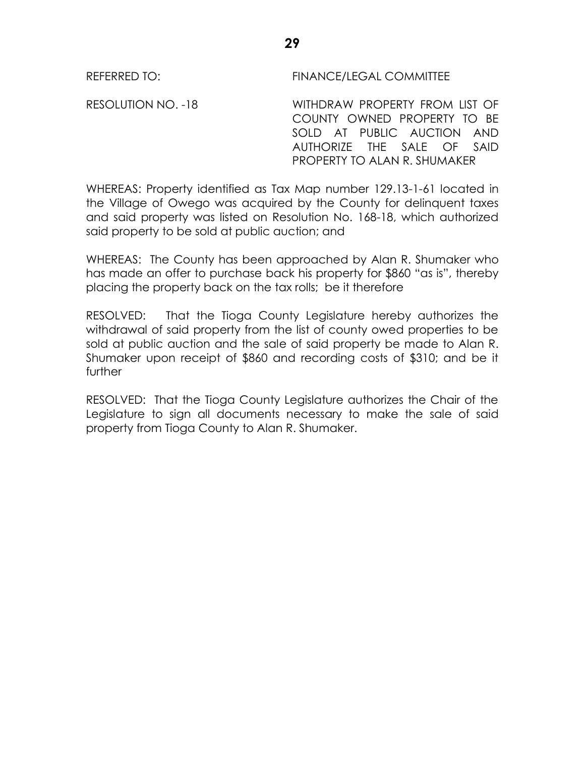REFERRED TO: FINANCE/LEGAL COMMITTEE

RESOLUTION NO. -18 WITHDRAW PROPERTY FROM LIST OF COUNTY OWNED PROPERTY TO BE SOLD AT PUBLIC AUCTION AND AUTHORIZE THE SALE OF SAID PROPERTY TO ALAN R. SHUMAKER

WHEREAS: Property identified as Tax Map number 129.13-1-61 located in the Village of Owego was acquired by the County for delinquent taxes and said property was listed on Resolution No. 168-18, which authorized said property to be sold at public auction; and

WHEREAS: The County has been approached by Alan R. Shumaker who has made an offer to purchase back his property for \$860 "as is", thereby placing the property back on the tax rolls; be it therefore

RESOLVED: That the Tioga County Legislature hereby authorizes the withdrawal of said property from the list of county owed properties to be sold at public auction and the sale of said property be made to Alan R. Shumaker upon receipt of \$860 and recording costs of \$310; and be it further

RESOLVED: That the Tioga County Legislature authorizes the Chair of the Legislature to sign all documents necessary to make the sale of said property from Tioga County to Alan R. Shumaker.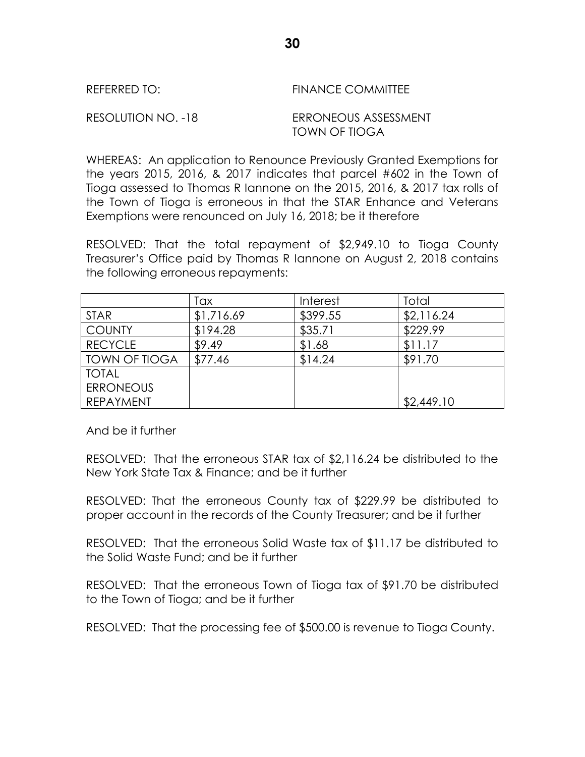| REFERRED TO: | <b>FINANCE COMMITTEE</b> |
|--------------|--------------------------|
|              |                          |

RESOLUTION NO. -18 ERRONEOUS ASSESSMENT TOWN OF TIOGA

WHEREAS: An application to Renounce Previously Granted Exemptions for the years 2015, 2016, & 2017 indicates that parcel #602 in the Town of Tioga assessed to Thomas R Iannone on the 2015, 2016, & 2017 tax rolls of the Town of Tioga is erroneous in that the STAR Enhance and Veterans Exemptions were renounced on July 16, 2018; be it therefore

RESOLVED: That the total repayment of \$2,949.10 to Tioga County Treasurer's Office paid by Thomas R Iannone on August 2, 2018 contains the following erroneous repayments:

|                  | Tax        | Interest | Total      |
|------------------|------------|----------|------------|
| <b>STAR</b>      | \$1,716.69 | \$399.55 | \$2,116.24 |
| <b>COUNTY</b>    | \$194.28   | \$35.71  | \$229.99   |
| <b>RECYCLE</b>   | \$9.49     | \$1.68   | \$11.17    |
| TOWN OF TIOGA    | \$77.46    | \$14.24  | \$91.70    |
| <b>TOTAL</b>     |            |          |            |
| <b>ERRONEOUS</b> |            |          |            |
| <b>REPAYMENT</b> |            |          | \$2,449.10 |

And be it further

RESOLVED: That the erroneous STAR tax of \$2,116.24 be distributed to the New York State Tax & Finance; and be it further

RESOLVED: That the erroneous County tax of \$229.99 be distributed to proper account in the records of the County Treasurer; and be it further

RESOLVED: That the erroneous Solid Waste tax of \$11.17 be distributed to the Solid Waste Fund; and be it further

RESOLVED: That the erroneous Town of Tioga tax of \$91.70 be distributed to the Town of Tioga; and be it further

RESOLVED: That the processing fee of \$500.00 is revenue to Tioga County.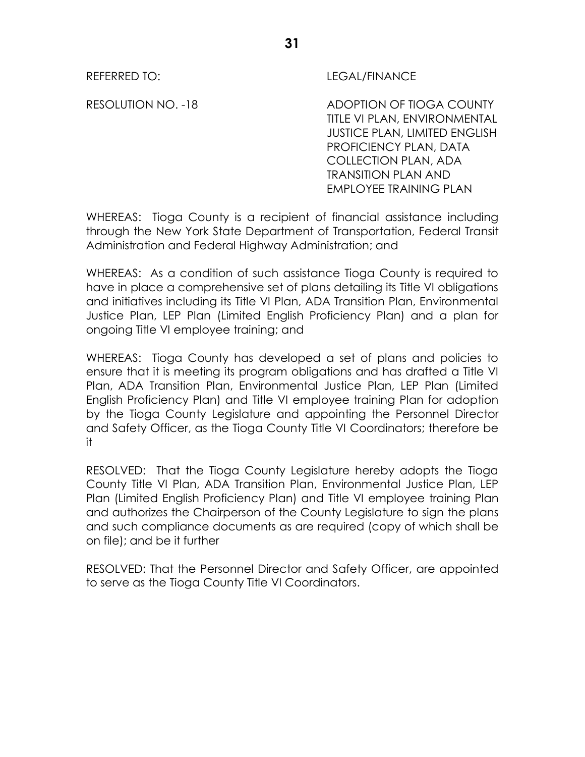### REFERRED TO: LEGAL/FINANCE

RESOLUTION NO. -18 ADOPTION OF TIOGA COUNTY TITLE VI PLAN, ENVIRONMENTAL JUSTICE PLAN, LIMITED ENGLISH PROFICIENCY PLAN, DATA COLLECTION PLAN, ADA TRANSITION PLAN AND EMPLOYEE TRAINING PLAN

WHEREAS: Tioga County is a recipient of financial assistance including through the New York State Department of Transportation, Federal Transit Administration and Federal Highway Administration; and

WHEREAS: As a condition of such assistance Tioga County is required to have in place a comprehensive set of plans detailing its Title VI obligations and initiatives including its Title VI Plan, ADA Transition Plan, Environmental Justice Plan, LEP Plan (Limited English Proficiency Plan) and a plan for ongoing Title VI employee training; and

WHEREAS: Tioga County has developed a set of plans and policies to ensure that it is meeting its program obligations and has drafted a Title VI Plan, ADA Transition Plan, Environmental Justice Plan, LEP Plan (Limited English Proficiency Plan) and Title VI employee training Plan for adoption by the Tioga County Legislature and appointing the Personnel Director and Safety Officer, as the Tioga County Title VI Coordinators; therefore be it

RESOLVED: That the Tioga County Legislature hereby adopts the Tioga County Title VI Plan, ADA Transition Plan, Environmental Justice Plan, LEP Plan (Limited English Proficiency Plan) and Title VI employee training Plan and authorizes the Chairperson of the County Legislature to sign the plans and such compliance documents as are required (copy of which shall be on file); and be it further

RESOLVED: That the Personnel Director and Safety Officer, are appointed to serve as the Tioga County Title VI Coordinators.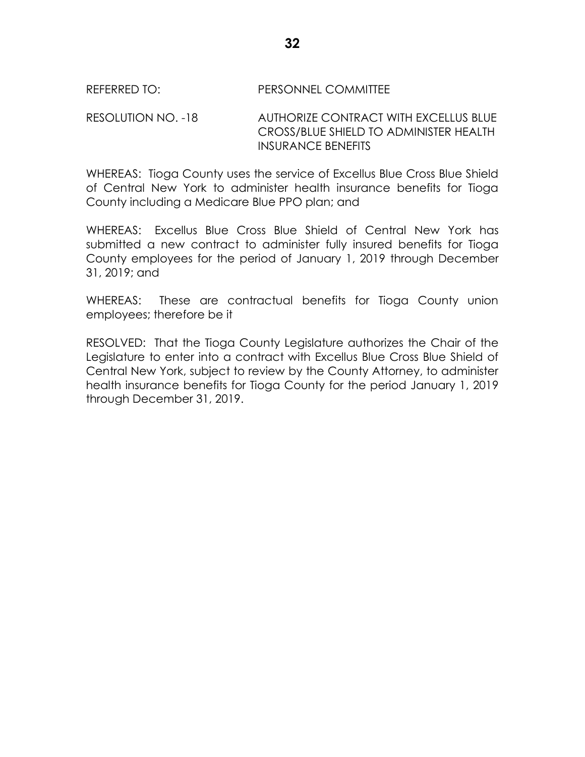### REFERRED TO: PERSONNEL COMMITTEE

RESOLUTION NO. -18 AUTHORIZE CONTRACT WITH EXCELLUS BLUE CROSS/BLUE SHIELD TO ADMINISTER HEALTH INSURANCE BENEFITS

WHEREAS: Tioga County uses the service of Excellus Blue Cross Blue Shield of Central New York to administer health insurance benefits for Tioga County including a Medicare Blue PPO plan; and

WHEREAS: Excellus Blue Cross Blue Shield of Central New York has submitted a new contract to administer fully insured benefits for Tioga County employees for the period of January 1, 2019 through December 31, 2019; and

WHEREAS: These are contractual benefits for Tioga County union employees; therefore be it

RESOLVED: That the Tioga County Legislature authorizes the Chair of the Legislature to enter into a contract with Excellus Blue Cross Blue Shield of Central New York, subject to review by the County Attorney, to administer health insurance benefits for Tioga County for the period January 1, 2019 through December 31, 2019.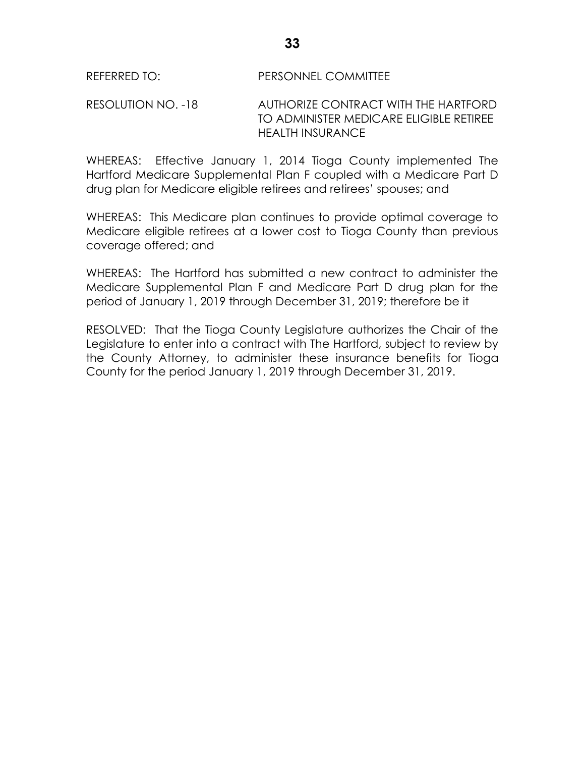#### REFERRED TO: PERSONNEL COMMITTEE

RESOLUTION NO. -18 AUTHORIZE CONTRACT WITH THE HARTFORD TO ADMINISTER MEDICARE ELIGIBLE RETIREE HEALTH INSURANCE

WHEREAS: Effective January 1, 2014 Tioga County implemented The Hartford Medicare Supplemental Plan F coupled with a Medicare Part D drug plan for Medicare eligible retirees and retirees' spouses; and

WHEREAS: This Medicare plan continues to provide optimal coverage to Medicare eligible retirees at a lower cost to Tioga County than previous coverage offered; and

WHEREAS: The Hartford has submitted a new contract to administer the Medicare Supplemental Plan F and Medicare Part D drug plan for the period of January 1, 2019 through December 31, 2019; therefore be it

RESOLVED: That the Tioga County Legislature authorizes the Chair of the Legislature to enter into a contract with The Hartford, subject to review by the County Attorney, to administer these insurance benefits for Tioga County for the period January 1, 2019 through December 31, 2019.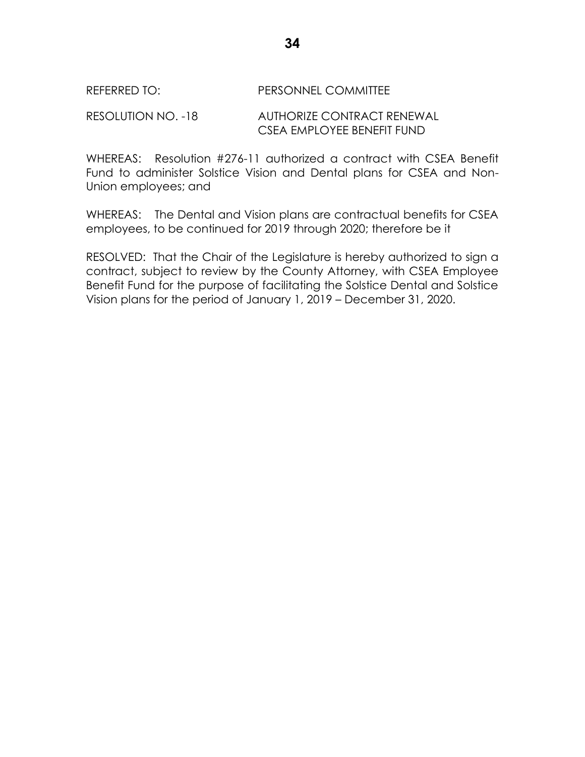# REFERRED TO: PERSONNEL COMMITTEE

RESOLUTION NO. -18 AUTHORIZE CONTRACT RENEWAL CSEA EMPLOYEE BENEFIT FUND

WHEREAS: Resolution #276-11 authorized a contract with CSEA Benefit Fund to administer Solstice Vision and Dental plans for CSEA and Non-Union employees; and

WHEREAS: The Dental and Vision plans are contractual benefits for CSEA employees, to be continued for 2019 through 2020; therefore be it

RESOLVED: That the Chair of the Legislature is hereby authorized to sign a contract, subject to review by the County Attorney, with CSEA Employee Benefit Fund for the purpose of facilitating the Solstice Dental and Solstice Vision plans for the period of January 1, 2019 – December 31, 2020.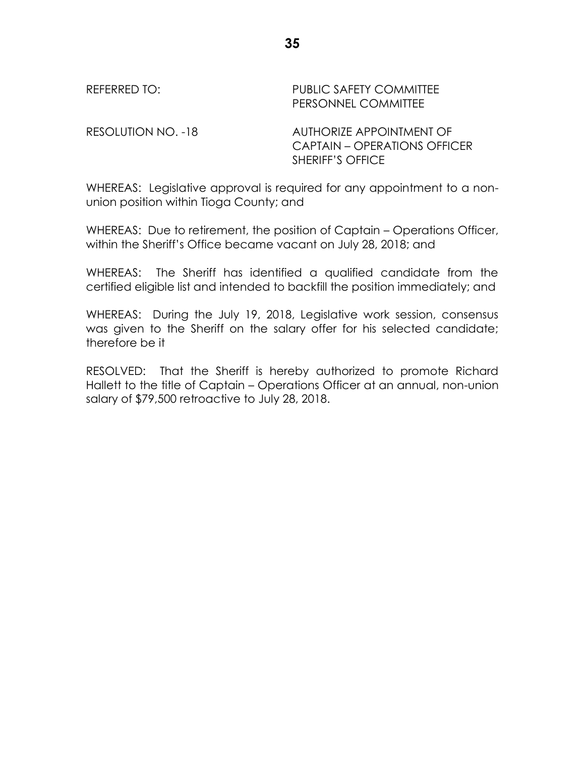| REFERRED TO:       | <b>PUBLIC SAFETY COMMITTEE</b><br>PERSONNEL COMMITTEE                                      |
|--------------------|--------------------------------------------------------------------------------------------|
| RESOLUTION NO. -18 | AUTHORIZE APPOINTMENT OF<br><b>CAPTAIN - OPERATIONS OFFICER</b><br><b>SHERIFF'S OFFICE</b> |

WHEREAS: Legislative approval is required for any appointment to a nonunion position within Tioga County; and

WHEREAS: Due to retirement, the position of Captain – Operations Officer, within the Sheriff's Office became vacant on July 28, 2018; and

WHEREAS: The Sheriff has identified a qualified candidate from the certified eligible list and intended to backfill the position immediately; and

WHEREAS: During the July 19, 2018, Legislative work session, consensus was given to the Sheriff on the salary offer for his selected candidate; therefore be it

RESOLVED: That the Sheriff is hereby authorized to promote Richard Hallett to the title of Captain – Operations Officer at an annual, non-union salary of \$79,500 retroactive to July 28, 2018.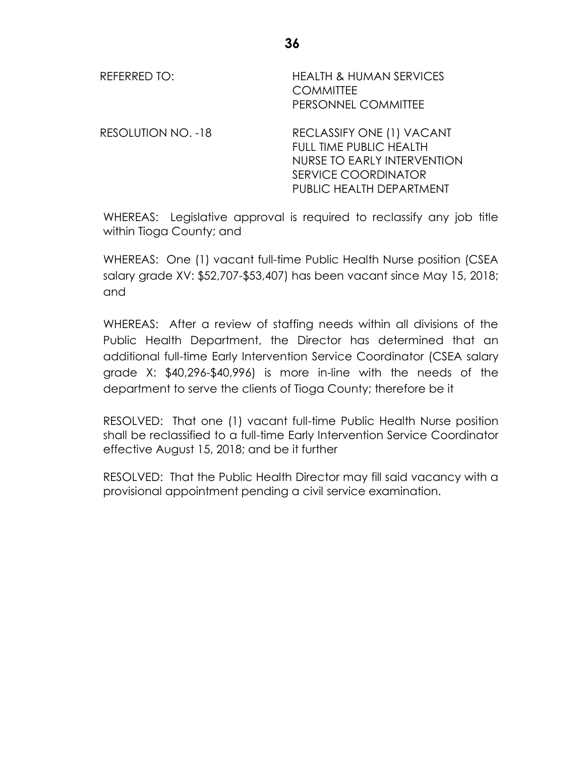| REFERRED TO:              | <b>HEALTH &amp; HUMAN SERVICES</b><br><b>COMMITTEE</b><br>PERSONNEL COMMITTEE                                                                        |
|---------------------------|------------------------------------------------------------------------------------------------------------------------------------------------------|
| <b>RESOLUTION NO. -18</b> | RECLASSIFY ONE (1) VACANT<br><b>FULL TIME PUBLIC HEALTH</b><br>NURSE TO EARLY INTERVENTION<br><b>SERVICE COORDINATOR</b><br>PUBLIC HEALTH DEPARTMENT |

WHEREAS: Legislative approval is required to reclassify any job title within Tioga County; and

WHEREAS: One (1) vacant full-time Public Health Nurse position (CSEA salary grade XV: \$52,707-\$53,407) has been vacant since May 15, 2018; and

WHEREAS: After a review of staffing needs within all divisions of the Public Health Department, the Director has determined that an additional full-time Early Intervention Service Coordinator (CSEA salary grade X: \$40,296-\$40,996) is more in-line with the needs of the department to serve the clients of Tioga County; therefore be it

RESOLVED: That one (1) vacant full-time Public Health Nurse position shall be reclassified to a full-time Early Intervention Service Coordinator effective August 15, 2018; and be it further

RESOLVED: That the Public Health Director may fill said vacancy with a provisional appointment pending a civil service examination.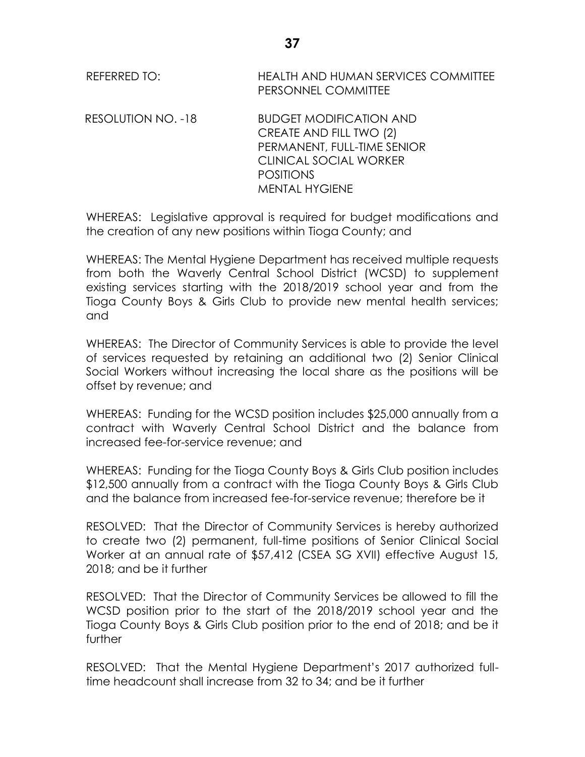| REFERRED TO: | <b>HEALTH AND HUMAN SERVICES COMMITTEE</b> |
|--------------|--------------------------------------------|
|              | PERSONNEL COMMITTEE                        |

RESOLUTION NO. -18 BUDGET MODIFICATION AND CREATE AND FILL TWO (2) PERMANENT, FULL-TIME SENIOR CLINICAL SOCIAL WORKER POSITIONS MENTAL HYGIENE

WHEREAS: Legislative approval is required for budget modifications and the creation of any new positions within Tioga County; and

WHEREAS: The Mental Hygiene Department has received multiple requests from both the Waverly Central School District (WCSD) to supplement existing services starting with the 2018/2019 school year and from the Tioga County Boys & Girls Club to provide new mental health services; and

WHEREAS: The Director of Community Services is able to provide the level of services requested by retaining an additional two (2) Senior Clinical Social Workers without increasing the local share as the positions will be offset by revenue; and

WHEREAS: Funding for the WCSD position includes \$25,000 annually from a contract with Waverly Central School District and the balance from increased fee-for-service revenue; and

WHEREAS: Funding for the Tioga County Boys & Girls Club position includes \$12,500 annually from a contract with the Tioga County Boys & Girls Club and the balance from increased fee-for-service revenue; therefore be it

RESOLVED: That the Director of Community Services is hereby authorized to create two (2) permanent, full-time positions of Senior Clinical Social Worker at an annual rate of \$57,412 (CSEA SG XVII) effective August 15, 2018; and be it further

RESOLVED: That the Director of Community Services be allowed to fill the WCSD position prior to the start of the 2018/2019 school year and the Tioga County Boys & Girls Club position prior to the end of 2018; and be it further

RESOLVED: That the Mental Hygiene Department's 2017 authorized fulltime headcount shall increase from 32 to 34; and be it further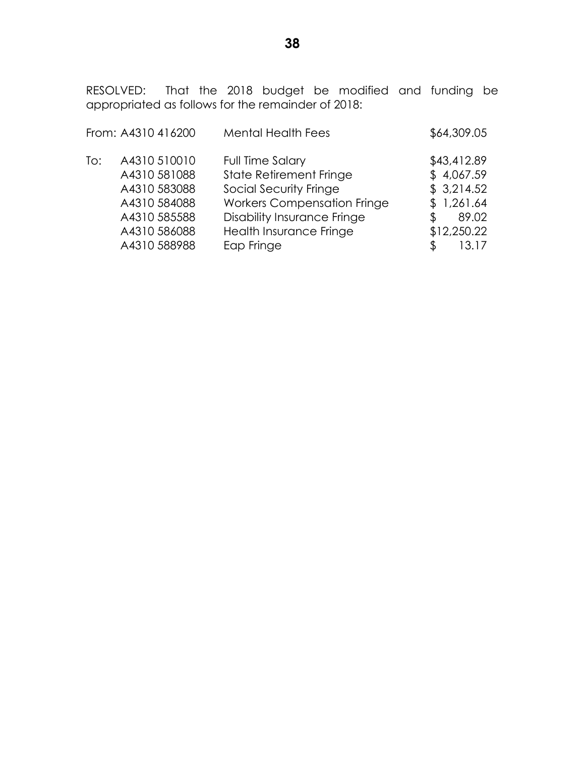RESOLVED: That the 2018 budget be modified and funding be appropriated as follows for the remainder of 2018:

|     | From: A4310 416200 | <b>Mental Health Fees</b>          | \$64,309.05 |
|-----|--------------------|------------------------------------|-------------|
| To: | A4310 510010       | <b>Full Time Salary</b>            | \$43,412.89 |
|     | A4310 581088       | <b>State Retirement Fringe</b>     | \$4,067.59  |
|     | A4310 583088       | Social Security Fringe             | \$3,214.52  |
|     | A4310 584088       | <b>Workers Compensation Fringe</b> | \$1,261.64  |
|     | A4310 585588       | <b>Disability Insurance Fringe</b> | 89.02<br>S  |
|     | A4310 586088       | Health Insurance Fringe            | \$12,250.22 |
|     | A4310 588988       | Eap Fringe                         | 13.17       |